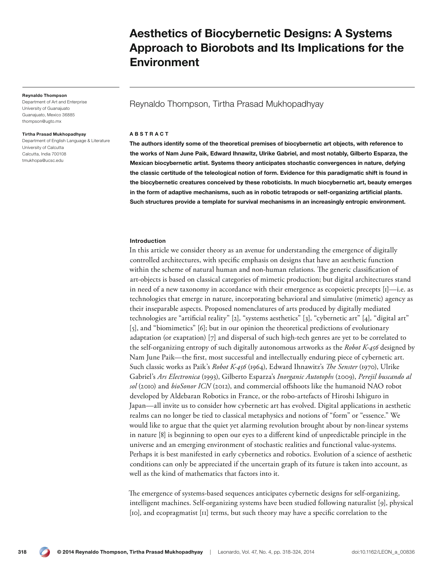# Aesthetics of Biocybernetic Designs: A Systems Approach to Biorobots and Its Implications for the **Environment**

#### Reynaldo Thompson

Department of Art and Enterprise University of Guanajuato Guanajuato, Mexico 36885 thompson@ugto.mx

#### Tirtha Prasad Mukhopadhyay

Department of English Language & Literature University of Calcutta Calcutta, India 700108 tmukhopa@ucsc.edu

# Reynaldo Thompson, Tirtha Prasad Mukhopadhyay

#### ABSTRACT

The authors identify some of the theoretical premises of biocybernetic art objects, with reference to the works of Nam June Paik, Edward Ihnawitz, Ulrike Gabriel, and most notably, Gilberto Esparza, the Mexican biocybernetic artist. Systems theory anticipates stochastic convergences in nature, defying the classic certitude of the teleological notion of form. Evidence for this paradigmatic shift is found in the biocybernetic creatures conceived by these roboticists. In much biocybernetic art, beauty emerges in the form of adaptive mechanisms, such as in robotic tetrapods or self-organizing artificial plants. Such structures provide a template for survival mechanisms in an increasingly entropic environment.

#### Introduction

In this article we consider theory as an avenue for understanding the emergence of digitally controlled architectures, with specific emphasis on designs that have an aesthetic function within the scheme of natural human and non-human relations. The generic classification of art-objects is based on classical categories of mimetic production; but digital architectures stand in need of a new taxonomy in accordance with their emergence as ecopoietic precepts  $[i]$ —i.e. as technologies that emerge in nature, incorporating behavioral and simulative (mimetic) agency as their inseparable aspects. Proposed nomenclatures of arts produced by digitally mediated technologies are "artificial reality" [2], "systems aesthetics" [3], "cybernetic art" [4], "digital art" [5], and "biomimetics" [6]; but in our opinion the theoretical predictions of evolutionary adaptation (or exaptation) [7] and dispersal of such high-tech genres are yet to be correlated to the self-organizing entropy of such digitally autonomous artworks as the *Robot K-456* designed by Nam June Paik—the first, most successful and intellectually enduring piece of cybernetic art. Such classic works as Paik's *Robot K-456* (1964), Edward Ihnawitz's *The Senster* (1970), Ulrike Gabriel's *Ars Electronica* (1993), Gilberto Esparza's *Inorganic Autotophs* (2009), *Perejil buscando al sol* (2010) and *bioSonor ICN* (2012), and commercial offshoots like the humanoid NAO robot developed by Aldebaran Robotics in France, or the robo-artefacts of Hiroshi Ishiguro in Japan—all invite us to consider how cybernetic art has evolved. Digital applications in aesthetic realms can no longer be tied to classical metaphysics and notions of "form" or "essence." We would like to argue that the quiet yet alarming revolution brought about by non-linear systems in nature [8] is beginning to open our eyes to a different kind of unpredictable principle in the universe and an emerging environment of stochastic realities and functional value-systems. Perhaps it is best manifested in early cybernetics and robotics. Evolution of a science of aesthetic conditions can only be appreciated if the uncertain graph of its future is taken into account, as well as the kind of mathematics that factors into it.

The emergence of systems-based sequences anticipates cybernetic designs for self-organizing, intelligent machines. Self-organizing systems have been studied following naturalist [9], physical [10], and ecopragmatist [11] terms, but such theory may have a specific correlation to the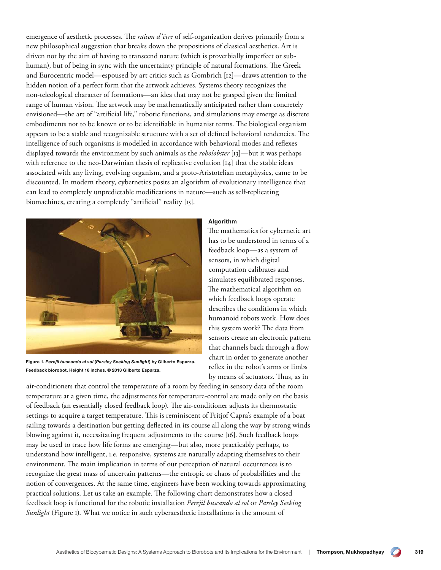emergence of aesthetic processes. The *raison d'être* of self-organization derives primarily from a new philosophical suggestion that breaks down the propositions of classical aesthetics. Art is driven not by the aim of having to transcend nature (which is proverbially imperfect or subhuman), but of being in sync with the uncertainty principle of natural formations. The Greek and Eurocentric model—espoused by art critics such as Gombrich [12]—draws attention to the hidden notion of a perfect form that the artwork achieves. Systems theory recognizes the non-teleological character of formations—an idea that may not be grasped given the limited range of human vision. The artwork may be mathematically anticipated rather than concretely envisioned—the art of "artificial life," robotic functions, and simulations may emerge as discrete embodiments not to be known or to be identifiable in humanist terms. The biological organism appears to be a stable and recognizable structure with a set of defined behavioral tendencies. The intelligence of such organisms is modelled in accordance with behavioral modes and reflexes displayed towards the environment by such animals as the *robolobster* [13]—but it was perhaps with reference to the neo-Darwinian thesis of replicative evolution [14] that the stable ideas associated with any living, evolving organism, and a proto-Aristotelian metaphysics, came to be discounted. In modern theory, cybernetics posits an algorithm of evolutionary intelligence that can lead to completely unpredictable modifications in nature—such as self-replicating biomachines, creating a completely "artificial" reality [15].



Figure 1. Perejil buscando al sol (Parsley Seeking Sunlight) by Gilberto Esparza. Feedback biorobot. Height 16 inches. © 2013 Gilberto Esparza.

# Algorithm

The mathematics for cybernetic art has to be understood in terms of a feedback loop—as a system of sensors, in which digital computation calibrates and simulates equilibrated responses. The mathematical algorithm on which feedback loops operate describes the conditions in which humanoid robots work. How does this system work? The data from sensors create an electronic pattern that channels back through a flow chart in order to generate another reflex in the robot's arms or limbs by means of actuators. Thus, as in

air-conditioners that control the temperature of a room by feeding in sensory data of the room temperature at a given time, the adjustments for temperature-control are made only on the basis of feedback (an essentially closed feedback loop). The air-conditioner adjusts its thermostatic settings to acquire a target temperature. This is reminiscent of Fritjof Capra's example of a boat sailing towards a destination but getting deflected in its course all along the way by strong winds blowing against it, necessitating frequent adjustments to the course [16]. Such feedback loops may be used to trace how life forms are emerging—but also, more practicably perhaps, to understand how intelligent, i.e. responsive, systems are naturally adapting themselves to their environment. The main implication in terms of our perception of natural occurrences is to recognize the great mass of uncertain patterns—the entropic or chaos of probabilities and the notion of convergences. At the same time, engineers have been working towards approximating practical solutions. Let us take an example. The following chart demonstrates how a closed feedback loop is functional for the robotic installation *Perejil buscando al sol* or *Parsley Seeking Sunlight* (Figure 1). What we notice in such cyberaesthetic installations is the amount of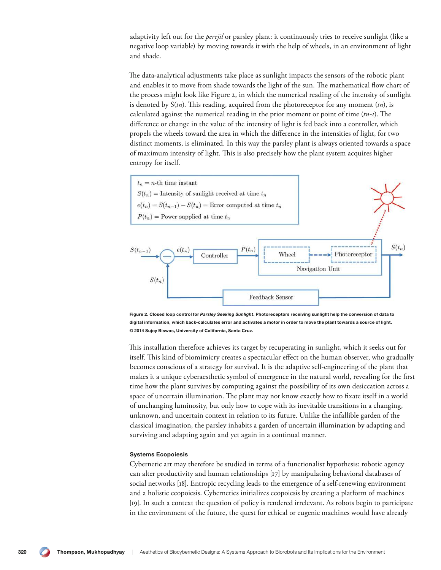adaptivity left out for the *perejil* or parsley plant: it continuously tries to receive sunlight (like a negative loop variable) by moving towards it with the help of wheels, in an environment of light and shade.

The data-analytical adjustments take place as sunlight impacts the sensors of the robotic plant and enables it to move from shade towards the light of the sun. The mathematical flow chart of the process might look like Figure 2, in which the numerical reading of the intensity of sunlight is denoted by S(*tn*). This reading, acquired from the photoreceptor for any moment (*tn*), is calculated against the numerical reading in the prior moment or point of time (*tn-1*). The difference or change in the value of the intensity of light is fed back into a controller, which propels the wheels toward the area in which the difference in the intensities of light, for two distinct moments, is eliminated. In this way the parsley plant is always oriented towards a space of maximum intensity of light. This is also precisely how the plant system acquires higher entropy for itself.



Figure 2. Closed loop control for Parsley Seeking Sunlight. Photoreceptors receiving sunlight help the conversion of data to digital information, which back-calculates error and activates a motor in order to move the plant towards a source of light. © 2014 Sujoy Biswas, University of California, Santa Cruz.

This installation therefore achieves its target by recuperating in sunlight, which it seeks out for itself. This kind of biomimicry creates a spectacular effect on the human observer, who gradually becomes conscious of a strategy for survival. It is the adaptive self-engineering of the plant that makes it a unique cyberaesthetic symbol of emergence in the natural world, revealing for the first time how the plant survives by computing against the possibility of its own desiccation across a space of uncertain illumination. The plant may not know exactly how to fixate itself in a world of unchanging luminosity, but only how to cope with its inevitable transitions in a changing, unknown, and uncertain context in relation to its future. Unlike the infallible garden of the classical imagination, the parsley inhabits a garden of uncertain illumination by adapting and surviving and adapting again and yet again in a continual manner.

## Systems Ecopoiesis

Cybernetic art may therefore be studied in terms of a functionalist hypothesis: robotic agency can alter productivity and human relationships [17] by manipulating behavioral databases of social networks [18]. Entropic recycling leads to the emergence of a self-renewing environment and a holistic ecopoiesis. Cybernetics initializes ecopoiesis by creating a platform of machines [19]. In such a context the question of policy is rendered irrelevant. As robots begin to participate in the environment of the future, the quest for ethical or eugenic machines would have already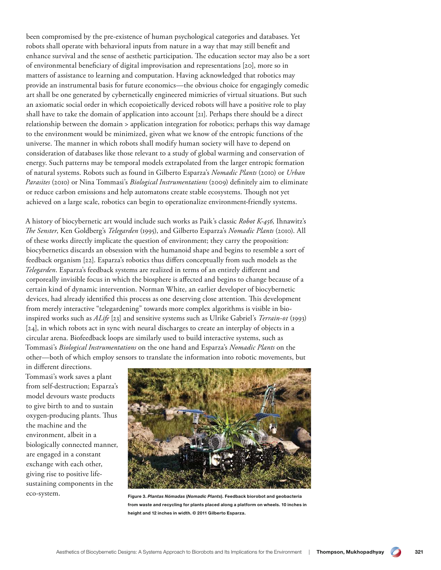been compromised by the pre-existence of human psychological categories and databases. Yet robots shall operate with behavioral inputs from nature in a way that may still benefit and enhance survival and the sense of aesthetic participation. The education sector may also be a sort of environmental beneficiary of digital improvisation and representations [20], more so in matters of assistance to learning and computation. Having acknowledged that robotics may provide an instrumental basis for future economics—the obvious choice for engagingly comedic art shall be one generated by cybernetically engineered mimicries of virtual situations. But such an axiomatic social order in which ecopoietically deviced robots will have a positive role to play shall have to take the domain of application into account [21]. Perhaps there should be a direct relationship between the domain > application integration for robotics; perhaps this way damage to the environment would be minimized, given what we know of the entropic functions of the universe. The manner in which robots shall modify human society will have to depend on consideration of databases like those relevant to a study of global warming and conservation of energy. Such patterns may be temporal models extrapolated from the larger entropic formation of natural systems. Robots such as found in Gilberto Esparza's *Nomadic Plants* (2010) or *Urban Parasites* (2010) or Nina Tommasi's *Biological Instrumentations* (2009) definitely aim to eliminate or reduce carbon emissions and help automatons create stable ecosystems. Though not yet achieved on a large scale, robotics can begin to operationalize environment-friendly systems.

A history of biocybernetic art would include such works as Paik's classic *Robot K-456,* Ihnawitz's *The Senster*, Ken Goldberg's *Telegarden* (1995), and Gilberto Esparza's *Nomadic Plants* (2010). All of these works directly implicate the question of environment; they carry the proposition: biocybernetics discards an obsession with the humanoid shape and begins to resemble a sort of feedback organism [22]. Esparza's robotics thus differs conceptually from such models as the *Telegarden*. Esparza's feedback systems are realized in terms of an entirely different and corporeally invisible focus in which the biosphere is affected and begins to change because of a certain kind of dynamic intervention. Norman White, an earlier developer of biocybernetic devices, had already identified this process as one deserving close attention. This development from merely interactive "telegardening" towards more complex algorithms is visible in bioinspired works such as *ALife* [23] and sensitive systems such as Ulrike Gabriel's *Terrain-01* (1993) [24], in which robots act in sync with neural discharges to create an interplay of objects in a circular arena. Biofeedback loops are similarly used to build interactive systems, such as Tommasi's *Biological Instrumentations* on the one hand and Esparza's *Nomadic Plants* on the other—both of which employ sensors to translate the information into robotic movements, but

in different directions. Tommasi's work saves a plant from self-destruction; Esparza's model devours waste products to give birth to and to sustain oxygen-producing plants. Thus the machine and the environment, albeit in a biologically connected manner, are engaged in a constant exchange with each other, giving rise to positive lifesustaining components in the eco-system.



Figure 3. Plantas Nómadas (Nomadic Plants). Feedback biorobot and geobacteria from waste and recycling for plants placed along a platform on wheels. 10 inches in height and 12 inches in width. © 2011 Gilberto Esparza.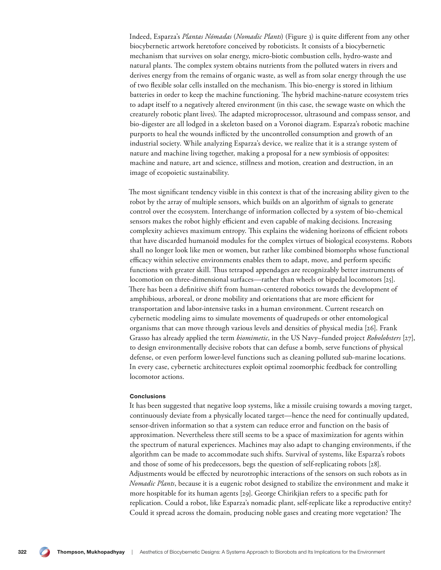Indeed, Esparza's *Plantas Nómadas* (*Nomadic Plants*) (Figure 3) is quite different from any other biocybernetic artwork heretofore conceived by roboticists. It consists of a biocybernetic mechanism that survives on solar energy, micro-biotic combustion cells, hydro-waste and natural plants. The complex system obtains nutrients from the polluted waters in rivers and derives energy from the remains of organic waste, as well as from solar energy through the use of two flexible solar cells installed on the mechanism. This bio-energy is stored in lithium batteries in order to keep the machine functioning. The hybrid machine-nature ecosystem tries to adapt itself to a negatively altered environment (in this case, the sewage waste on which the creaturely robotic plant lives). The adapted microprocessor, ultrasound and compass sensor, and bio-digester are all lodged in a skeleton based on a Voronoi diagram. Esparza's robotic machine purports to heal the wounds inflicted by the uncontrolled consumption and growth of an industrial society. While analyzing Esparza's device, we realize that it is a strange system of nature and machine living together, making a proposal for a new symbiosis of opposites: machine and nature, art and science, stillness and motion, creation and destruction, in an image of ecopoietic sustainability.

The most significant tendency visible in this context is that of the increasing ability given to the robot by the array of multiple sensors, which builds on an algorithm of signals to generate control over the ecosystem. Interchange of information collected by a system of bio-chemical sensors makes the robot highly efficient and even capable of making decisions. Increasing complexity achieves maximum entropy. This explains the widening horizons of efficient robots that have discarded humanoid modules for the complex virtues of biological ecosystems. Robots shall no longer look like men or women, but rather like combined biomorphs whose functional efficacy within selective environments enables them to adapt, move, and perform specific functions with greater skill. Thus tetrapod appendages are recognizably better instruments of locomotion on three-dimensional surfaces—rather than wheels or bipedal locomotors [25]. There has been a definitive shift from human-centered robotics towards the development of amphibious, arboreal, or drone mobility and orientations that are more efficient for transportation and labor-intensive tasks in a human environment. Current research on cybernetic modeling aims to simulate movements of quadrupeds or other entomological organisms that can move through various levels and densities of physical media [26]. Frank Grasso has already applied the term *biomimetic*, in the US Navy–funded project *Robolobsters* [27], to design environmentally decisive robots that can defuse a bomb, serve functions of physical defense, or even perform lower-level functions such as cleaning polluted sub-marine locations. In every case, cybernetic architectures exploit optimal zoomorphic feedback for controlling locomotor actions.

# Conclusions

It has been suggested that negative loop systems, like a missile cruising towards a moving target, continuously deviate from a physically located target—hence the need for continually updated, sensor-driven information so that a system can reduce error and function on the basis of approximation. Nevertheless there still seems to be a space of maximization for agents within the spectrum of natural experiences. Machines may also adapt to changing environments, if the algorithm can be made to accommodate such shifts. Survival of systems, like Esparza's robots and those of some of his predecessors, begs the question of self-replicating robots [28]. Adjustments would be effected by neurotrophic interactions of the sensors on such robots as in *Nomadic Plants*, because it is a eugenic robot designed to stabilize the environment and make it more hospitable for its human agents [29]. George Chirikjian refers to a specific path for replication. Could a robot, like Esparza's nomadic plant, self-replicate like a reproductive entity? Could it spread across the domain, producing noble gases and creating more vegetation? The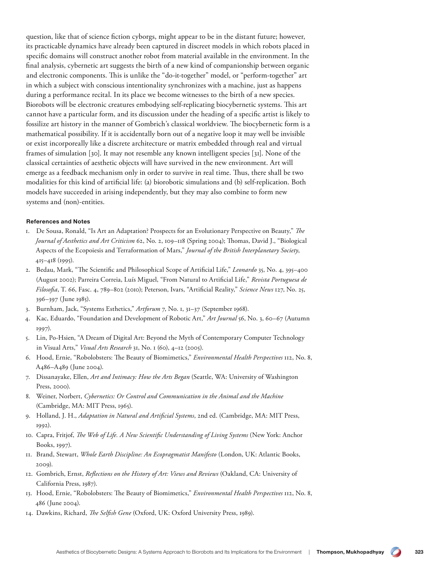question, like that of science fiction cyborgs, might appear to be in the distant future; however, its practicable dynamics have already been captured in discreet models in which robots placed in specific domains will construct another robot from material available in the environment. In the final analysis, cybernetic art suggests the birth of a new kind of companionship between organic and electronic components. This is unlike the "do-it-together" model, or "perform-together" art in which a subject with conscious intentionality synchronizes with a machine, just as happens during a performance recital. In its place we become witnesses to the birth of a new species. Biorobots will be electronic creatures embodying self-replicating biocybernetic systems. This art cannot have a particular form, and its discussion under the heading of a specific artist is likely to fossilize art history in the manner of Gombrich's classical worldview. The biocybernetic form is a mathematical possibility. If it is accidentally born out of a negative loop it may well be invisible or exist incorporeally like a discrete architecture or matrix embedded through real and virtual frames of simulation [30]. It may not resemble any known intelligent species [31]. None of the classical certainties of aesthetic objects will have survived in the new environment. Art will emerge as a feedback mechanism only in order to survive in real time. Thus, there shall be two modalities for this kind of artificial life: (a) biorobotic simulations and (b) self-replication. Both models have succeeded in arising independently, but they may also combine to form new systems and (non)-entities.

### References and Notes

- 1. De Sousa, Ronald, "Is Art an Adaptation? Prospects for an Evolutionary Perspective on Beauty," *The Journal of Aesthetics and Art Criticism* 62, No. 2, 109–118 (Spring 2004); Thomas, David J., "Biological Aspects of the Ecopoiesis and Terraformation of Mars," *Journal of the British Interplanetary Society*, 415–418 (1995).
- 2. Bedau, Mark, "The Scientific and Philosophical Scope of Artificial Life," *Leonardo* 35, No. 4, 395–400 (August 2002); Parreira Correia, Luís Miguel, "From Natural to Artificial Life," *Revista Portuguesa de Filosofia*, T. 66, Fasc. 4, 789–802 (2010); Peterson, Ivars, "Artificial Reality," *Science News* 127, No. 25, 396–397 (June 1985).
- 3. Burnham, Jack, "Systems Esthetics," *Artforum* 7, No. 1, 31–37 (September 1968).
- 4. Kac, Eduardo, "Foundation and Development of Robotic Art," *Art Journal* 56, No. 3, 60–67 (Autumn 1997).
- 5. Lin, Po-Hsien, "A Dream of Digital Art: Beyond the Myth of Contemporary Computer Technology in Visual Arts," *Visual Arts Research* 31, No. 1 (60), 4–12 (2005).
- 6. Hood, Ernie, "Robolobsters: The Beauty of Biomimetics," *Environmental Health Perspectives* 112, No. 8, A486–A489 (June 2004).
- 7. Dissanayake, Ellen, *Art and Intimacy: How the Arts Began* (Seattle, WA: University of Washington Press, 2000).
- 8. Weiner, Norbert, *Cybernetics: Or Control and Communication in the Animal and the Machine* (Cambridge, MA: MIT Press, 1965).
- 9. Holland, J. H., *Adaptation in Natural and Artificial Systems*, 2nd ed. (Cambridge, MA: MIT Press, 1992).
- 10. Capra, Fritjof, *The Web of Life. A New Scientific Understanding of Living Systems* (New York: Anchor Books, 1997).
- 11. Brand, Stewart, *Whole Earth Discipline: An Ecopragmatist Manifesto* (London, UK: Atlantic Books, 2009).
- 12. Gombrich, Ernst, *Reflections on the History of Art: Views and Reviews* (Oakland, CA: University of California Press, 1987).
- 13. Hood, Ernie, "Robolobsters: The Beauty of Biomimetics," *Environmental Health Perspectives* 112, No. 8, 486 (June 2004).
- 14. Dawkins, Richard, *The Selfish Gene* (Oxford, UK: Oxford University Press, 1989).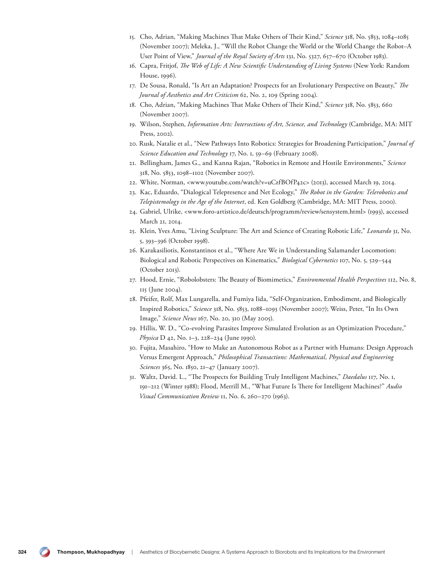- 15. Cho, Adrian, "Making Machines That Make Others of Their Kind," *Science* 318, No. 5853, 1084–1085 (November 2007); Meleka, J., "Will the Robot Change the World or the World Change the Robot–A User Point of View," *Journal of the Royal Society of Arts* 131, No. 5327, 657–670 (October 1983).
- 16. Capra, Fritjof, *The Web of Life: A New Scientific Understanding of Living Systems* (New York: Random House, 1996).
- 17. De Sousa, Ronald, "Is Art an Adaptation? Prospects for an Evolutionary Perspective on Beauty," *The Journal of Aesthetics and Art Criticism* 62, No. 2, 109 (Spring 2004).
- 18. Cho, Adrian, "Making Machines That Make Others of Their Kind," *Science* 318, No. 5853, 660 (November 2007).
- 19. Wilson, Stephen, *Information Arts: Intersections of Art, Science, and Technology* (Cambridge, MA: MIT Press, 2002).
- 20. Rusk, Natalie et al., "New Pathways Into Robotics: Strategies for Broadening Participation," *Journal of Science Education and Technology* 17, No. 1, 59–69 (February 2008).
- 21. Bellingham, James G., and Kanna Rajan, "Robotics in Remote and Hostile Environments," *Science* 318, No. 5853, 1098–1102 (November 2007).
- 22. White, Norman, <www.youtube.com/watch?v=uCzfBOfP42c> (2013), accessed March 19, 2014.
- 23. Kac, Eduardo, "Dialogical Telepresence and Net Ecology," *The Robot in the Garden: Telerobotics and Telepistemology in the Age of the Internet*, ed. Ken Goldberg (Cambridge, MA: MIT Press, 2000).
- 24. Gabriel, Ulrike, <www.foro-artistico.de/deutsch/programm/review/sensystem.html> (1993), accessed March 21, 2014.
- 25. Klein, Yves Amu, "Living Sculpture: The Art and Science of Creating Robotic Life," *Leonardo* 31, No. 5, 393–396 (October 1998).
- 26. Karakasiliotis, Konstantinos et al., "Where Are We in Understanding Salamander Locomotion: Biological and Robotic Perspectives on Kinematics," *Biological Cybernetics* 107, No. 5, 529–544 (October 2013).
- 27. Hood, Ernie, "Robolobsters: The Beauty of Biomimetics," *Environmental Health Perspectives* 112, No. 8, 115 (June 2004).
- 28. Pfeifer, Rolf, Max Lungarella, and Fumiya Iida, "Self-Organization, Embodiment, and Biologically Inspired Robotics," *Science* 318, No. 5853, 1088–1093 (November 2007); Weiss, Peter, "In Its Own Image," *Science News* 167, No. 20, 310 (May 2005).
- 29. Hillis, W. D., "Co-evolving Parasites Improve Simulated Evolution as an Optimization Procedure," *Physica* D 42, No. 1–3, 228–234 (June 1990).
- 30. Fujita, Masahiro, "How to Make an Autonomous Robot as a Partner with Humans: Design Approach Versus Emergent Approach," *Philosophical Transactions: Mathematical, Physical and Engineering Sciences* 365, No. 1850, 21–47 (January 2007).
- 31. Waltz, David. L., "The Prospects for Building Truly Intelligent Machines," *Daedalus* 117, No. 1, 191–212 (Winter 1988); Flood, Merrill M., "What Future Is There for Intelligent Machines?" *Audio Visual Communication Review* 11, No. 6, 260–270 (1963).